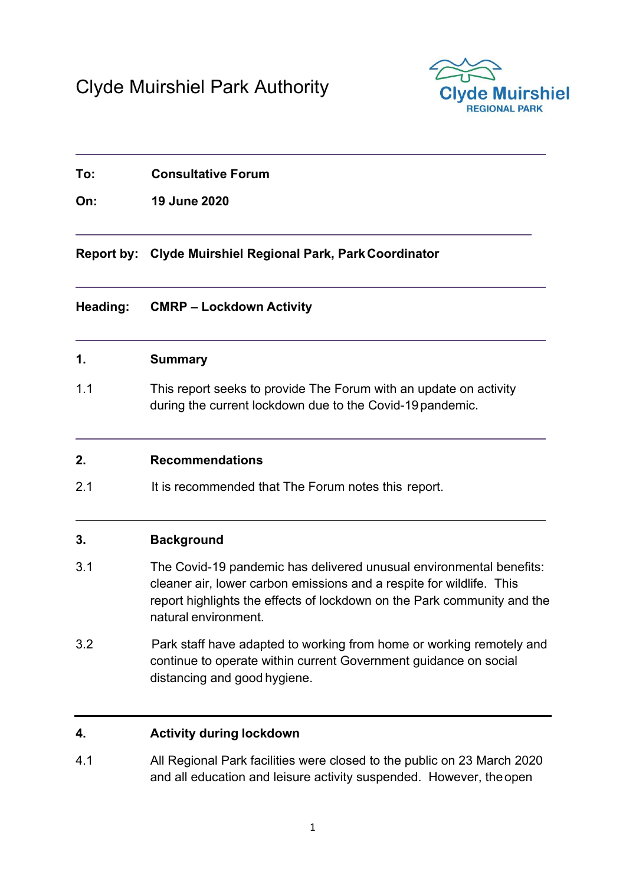

# **To: Consultative Forum**

**On: 19 June 2020** 

**Report by: Clyde Muirshiel Regional Park, Park Coordinator** 

### **Heading: CMRP – Lockdown Activity**

### **1. Summary**

1.1 This report seeks to provide The Forum with an update on activity during the current lockdown due to the Covid-19 pandemic.

## **2. Recommendations**

2.1 It is recommended that The Forum notes this report.

## **3. Background**

- 3.1 The Covid-19 pandemic has delivered unusual environmental benefits: cleaner air, lower carbon emissions and a respite for wildlife. This report highlights the effects of lockdown on the Park community and the natural environment.
- 3.2 Park staff have adapted to working from home or working remotely and continue to operate within current Government guidance on social distancing and good hygiene.

### **4. Activity during lockdown**

4.1 All Regional Park facilities were closed to the public on 23 March 2020 and all education and leisure activity suspended. However, the open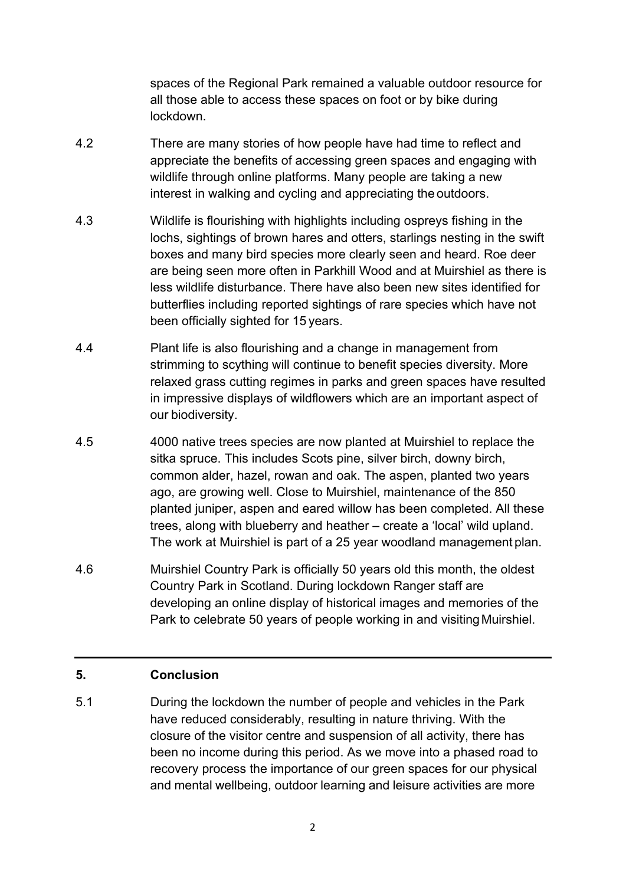spaces of the Regional Park remained a valuable outdoor resource for all those able to access these spaces on foot or by bike during lockdown.

- 4.2 There are many stories of how people have had time to reflect and appreciate the benefits of accessing green spaces and engaging with wildlife through online platforms. Many people are taking a new interest in walking and cycling and appreciating the outdoors.
- 4.3 Wildlife is flourishing with highlights including ospreys fishing in the lochs, sightings of brown hares and otters, starlings nesting in the swift boxes and many bird species more clearly seen and heard. Roe deer are being seen more often in Parkhill Wood and at Muirshiel as there is less wildlife disturbance. There have also been new sites identified for butterflies including reported sightings of rare species which have not been officially sighted for 15 years.
- 4.4 Plant life is also flourishing and a change in management from strimming to scything will continue to benefit species diversity. More relaxed grass cutting regimes in parks and green spaces have resulted in impressive displays of wildflowers which are an important aspect of our biodiversity.
- 4.5 4000 native trees species are now planted at Muirshiel to replace the sitka spruce. This includes Scots pine, silver birch, downy birch, common alder, hazel, rowan and oak. The aspen, planted two years ago, are growing well. Close to Muirshiel, maintenance of the 850 planted juniper, aspen and eared willow has been completed. All these trees, along with blueberry and heather – create a 'local' wild upland. The work at Muirshiel is part of a 25 year woodland management plan.
- 4.6 Muirshiel Country Park is officially 50 years old this month, the oldest Country Park in Scotland. During lockdown Ranger staff are developing an online display of historical images and memories of the Park to celebrate 50 years of people working in and visiting Muirshiel.

### **5. Conclusion**

5.1 During the lockdown the number of people and vehicles in the Park have reduced considerably, resulting in nature thriving. With the closure of the visitor centre and suspension of all activity, there has been no income during this period. As we move into a phased road to recovery process the importance of our green spaces for our physical and mental wellbeing, outdoor learning and leisure activities are more